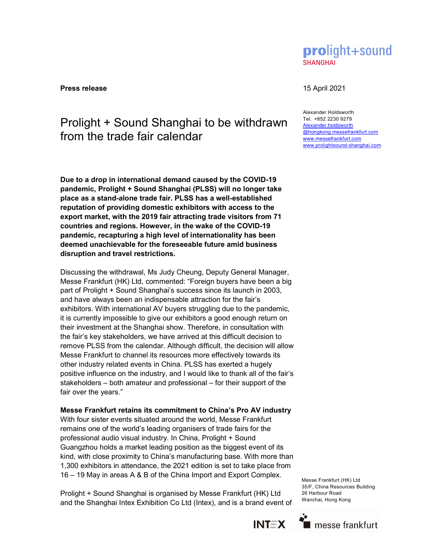prolight+sound **SHANGHAI** 

**Press release** 15 April 2021

# Prolight + Sound Shanghai to be withdrawn from the trade fair calendar

Due to a drop in international demand caused by the COVID-19 pandemic, Prolight + Sound Shanghai (PLSS) will no longer take place as a stand-alone trade fair. PLSS has a well-established reputation of providing domestic exhibitors with access to the export market, with the 2019 fair attracting trade visitors from 71 countries and regions. However, in the wake of the COVID-19 pandemic, recapturing a high level of internationality has been deemed unachievable for the foreseeable future amid business disruption and travel restrictions.

Discussing the withdrawal, Ms Judy Cheung, Deputy General Manager, Messe Frankfurt (HK) Ltd, commented: "Foreign buyers have been a big part of Prolight + Sound Shanghai's success since its launch in 2003, and have always been an indispensable attraction for the fair's exhibitors. With international AV buyers struggling due to the pandemic, it is currently impossible to give our exhibitors a good enough return on their investment at the Shanghai show. Therefore, in consultation with the fair's key stakeholders, we have arrived at this difficult decision to remove PLSS from the calendar. Although difficult, the decision will allow Messe Frankfurt to channel its resources more effectively towards its other industry related events in China. PLSS has exerted a hugely positive influence on the industry, and I would like to thank all of the fair's stakeholders – both amateur and professional – for their support of the fair over the years."

# Messe Frankfurt retains its commitment to China's Pro AV industry

With four sister events situated around the world, Messe Frankfurt remains one of the world's leading organisers of trade fairs for the professional audio visual industry. In China, Prolight + Sound Guangzhou holds a market leading position as the biggest event of its kind, with close proximity to China's manufacturing base. With more than 1,300 exhibitors in attendance, the 2021 edition is set to take place from 16 – 19 May in areas A & B of the China Import and Export Complex.

Prolight + Sound Shanghai is organised by Messe Frankfurt (HK) Ltd and the Shanghai Intex Exhibition Co Ltd (Intex), and is a brand event of Messe Frankfurt (HK) Ltd 35/F, China Resources Building 26 Harbour Road Wanchai, Hong Kong





Alexander Holdsworth Tel. +852 2230 9279 Alexander.holdsworth @hongkong.messefrankfurt.com www.messefrankfurt.com www.prolightsound-shanghai.com